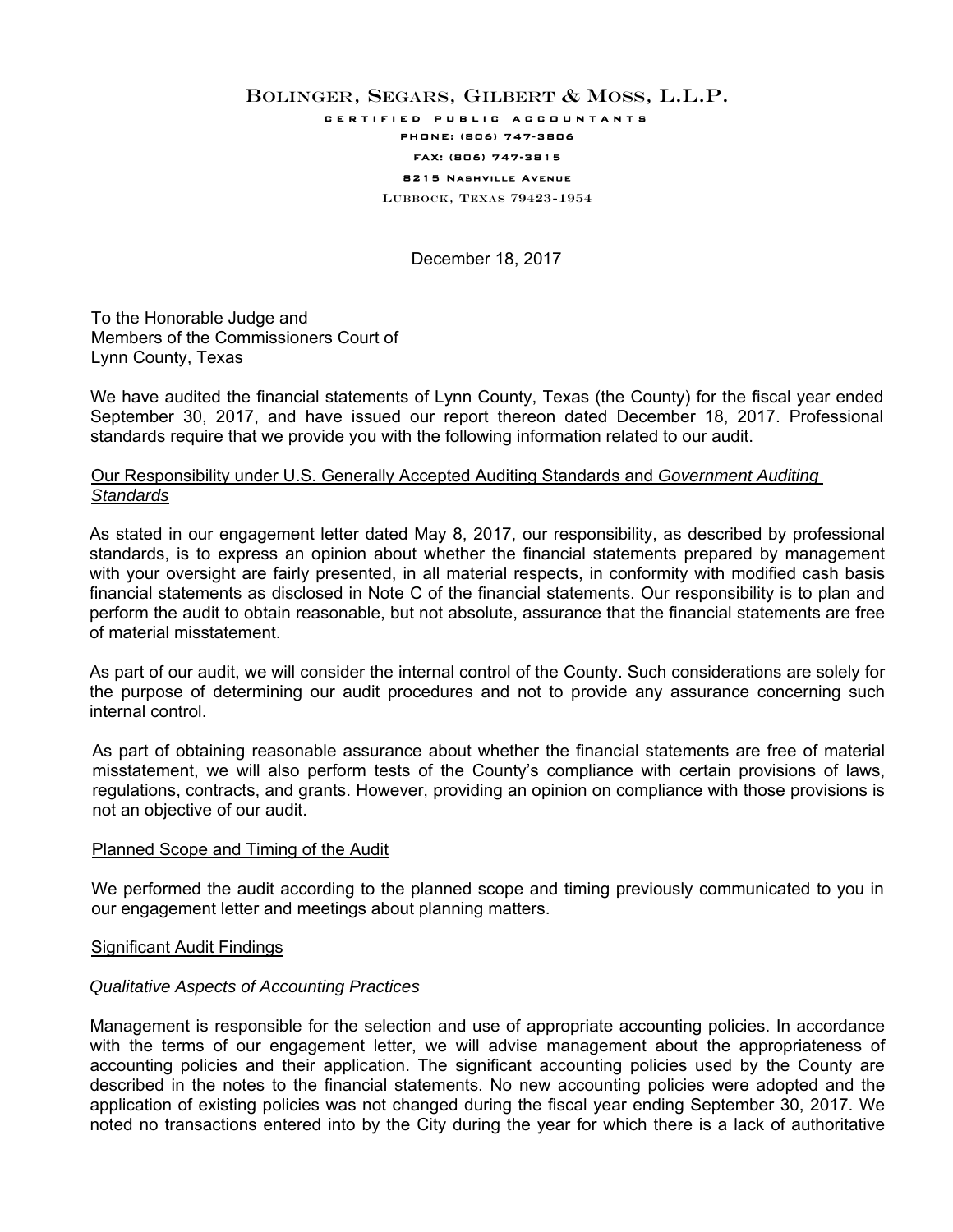# BOLINGER, SEGARS, GILBERT & MOSS, L.L.P.

certified public accountants

# PHONE: (806) 747-3806

#### FAX: (806) 747-3815 8215 Nashville Avenue

LUBBOCK, TEXAS 79423-1954

December 18, 2017

To the Honorable Judge and Members of the Commissioners Court of Lynn County, Texas

We have audited the financial statements of Lynn County, Texas (the County) for the fiscal year ended September 30, 2017, and have issued our report thereon dated December 18, 2017. Professional standards require that we provide you with the following information related to our audit.

# Our Responsibility under U.S. Generally Accepted Auditing Standards and *Government Auditing Standards*

As stated in our engagement letter dated May 8, 2017, our responsibility, as described by professional standards, is to express an opinion about whether the financial statements prepared by management with your oversight are fairly presented, in all material respects, in conformity with modified cash basis financial statements as disclosed in Note C of the financial statements. Our responsibility is to plan and perform the audit to obtain reasonable, but not absolute, assurance that the financial statements are free of material misstatement.

As part of our audit, we will consider the internal control of the County. Such considerations are solely for the purpose of determining our audit procedures and not to provide any assurance concerning such internal control.

As part of obtaining reasonable assurance about whether the financial statements are free of material misstatement, we will also perform tests of the County's compliance with certain provisions of laws, regulations, contracts, and grants. However, providing an opinion on compliance with those provisions is not an objective of our audit.

# Planned Scope and Timing of the Audit

We performed the audit according to the planned scope and timing previously communicated to you in our engagement letter and meetings about planning matters.

# Significant Audit Findings

# *Qualitative Aspects of Accounting Practices*

Management is responsible for the selection and use of appropriate accounting policies. In accordance with the terms of our engagement letter, we will advise management about the appropriateness of accounting policies and their application. The significant accounting policies used by the County are described in the notes to the financial statements. No new accounting policies were adopted and the application of existing policies was not changed during the fiscal year ending September 30, 2017. We noted no transactions entered into by the City during the year for which there is a lack of authoritative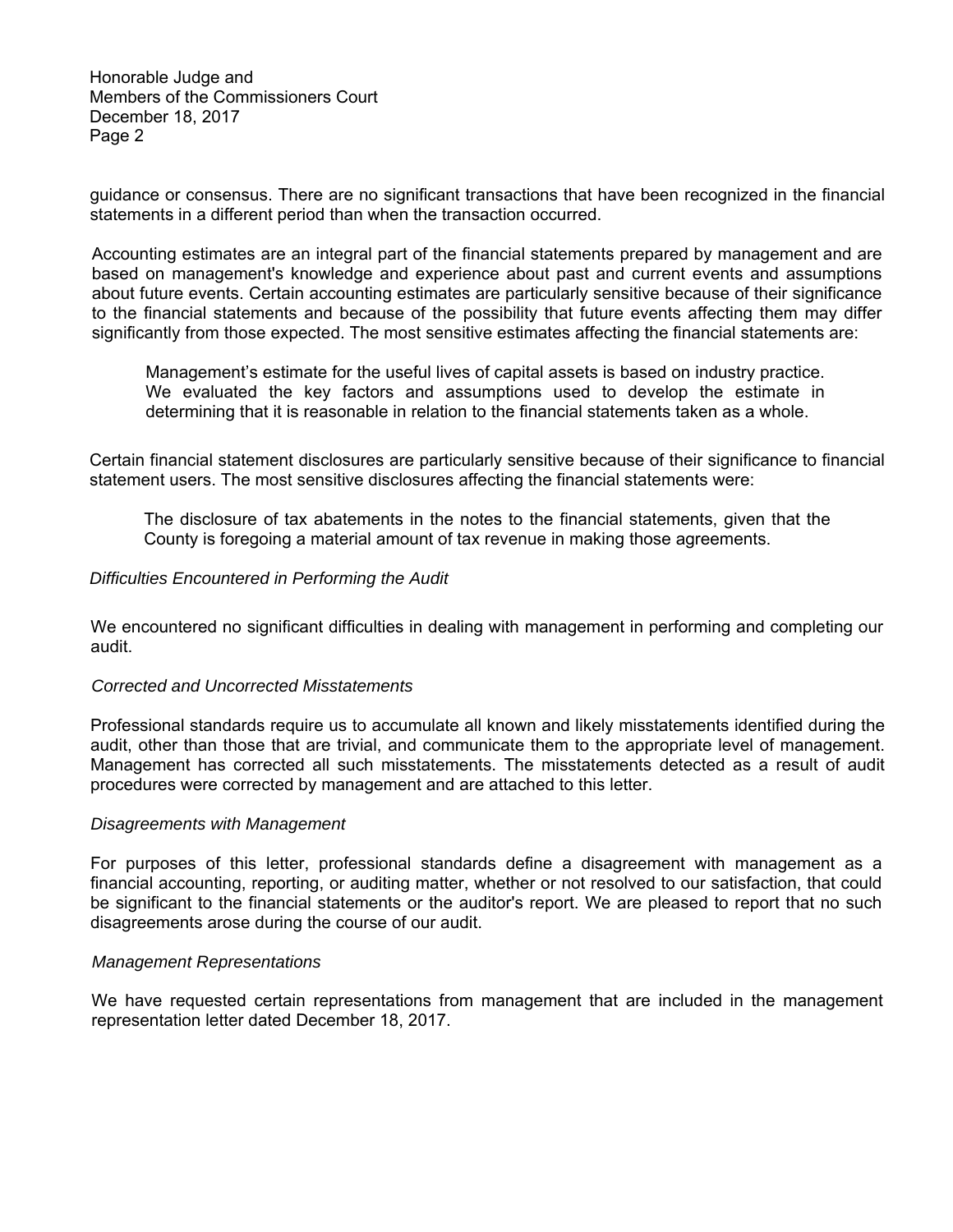Honorable Judge and Members of the Commissioners Court December 18, 2017 Page 2

guidance or consensus. There are no significant transactions that have been recognized in the financial statements in a different period than when the transaction occurred.

Accounting estimates are an integral part of the financial statements prepared by management and are based on management's knowledge and experience about past and current events and assumptions about future events. Certain accounting estimates are particularly sensitive because of their significance to the financial statements and because of the possibility that future events affecting them may differ significantly from those expected. The most sensitive estimates affecting the financial statements are:

Management's estimate for the useful lives of capital assets is based on industry practice. We evaluated the key factors and assumptions used to develop the estimate in determining that it is reasonable in relation to the financial statements taken as a whole.

Certain financial statement disclosures are particularly sensitive because of their significance to financial statement users. The most sensitive disclosures affecting the financial statements were:

The disclosure of tax abatements in the notes to the financial statements, given that the County is foregoing a material amount of tax revenue in making those agreements.

# *Difficulties Encountered in Performing the Audit*

We encountered no significant difficulties in dealing with management in performing and completing our audit.

# *Corrected and Uncorrected Misstatements*

Professional standards require us to accumulate all known and likely misstatements identified during the audit, other than those that are trivial, and communicate them to the appropriate level of management. Management has corrected all such misstatements. The misstatements detected as a result of audit procedures were corrected by management and are attached to this letter.

## *Disagreements with Management*

For purposes of this letter, professional standards define a disagreement with management as a financial accounting, reporting, or auditing matter, whether or not resolved to our satisfaction, that could be significant to the financial statements or the auditor's report. We are pleased to report that no such disagreements arose during the course of our audit.

## *Management Representations*

We have requested certain representations from management that are included in the management representation letter dated December 18, 2017.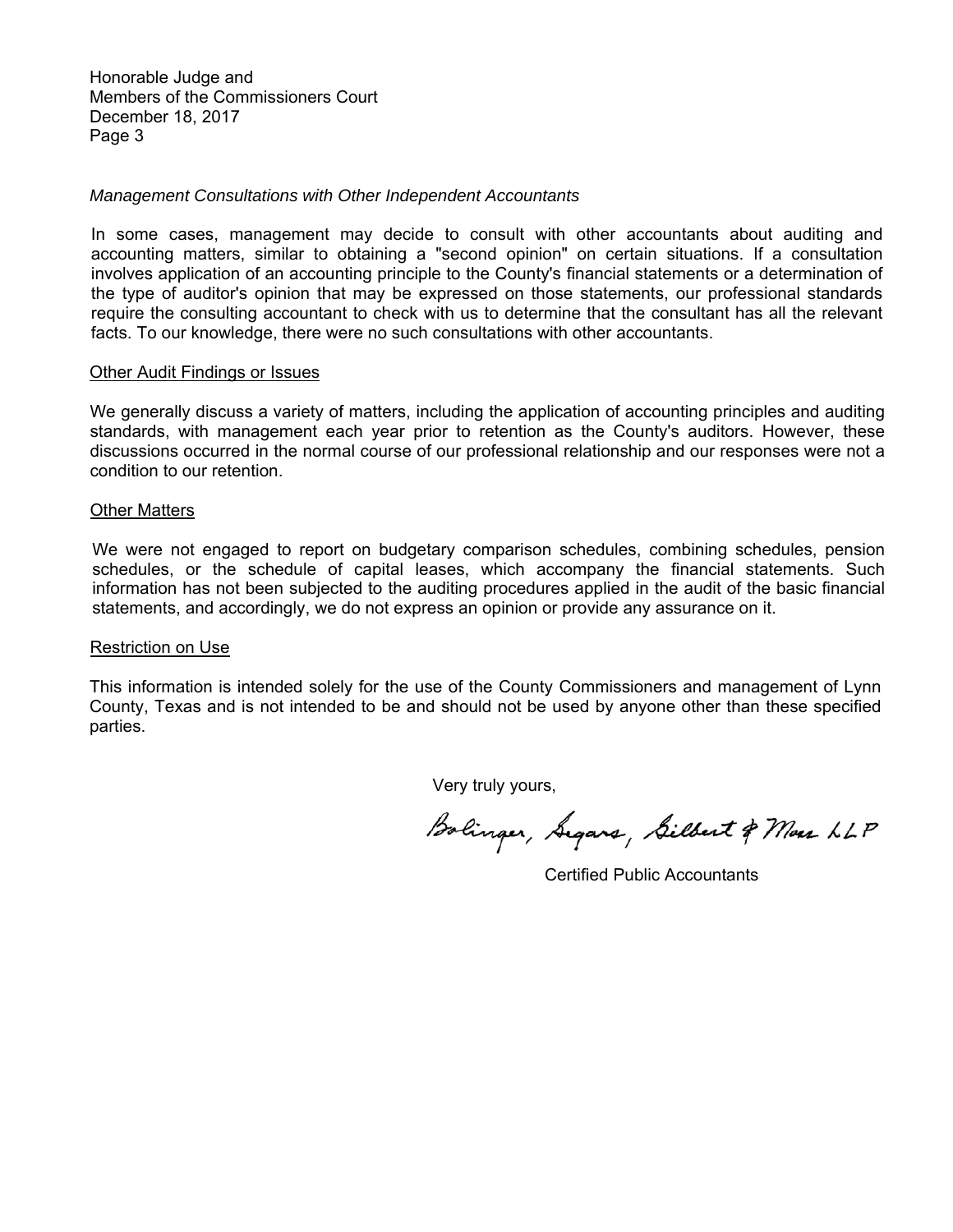Honorable Judge and Members of the Commissioners Court December 18, 2017 Page 3

# *Management Consultations with Other Independent Accountants*

In some cases, management may decide to consult with other accountants about auditing and accounting matters, similar to obtaining a "second opinion" on certain situations. If a consultation involves application of an accounting principle to the County's financial statements or a determination of the type of auditor's opinion that may be expressed on those statements, our professional standards require the consulting accountant to check with us to determine that the consultant has all the relevant facts. To our knowledge, there were no such consultations with other accountants.

## Other Audit Findings or Issues

We generally discuss a variety of matters, including the application of accounting principles and auditing standards, with management each year prior to retention as the County's auditors. However, these discussions occurred in the normal course of our professional relationship and our responses were not a condition to our retention.

## Other Matters

We were not engaged to report on budgetary comparison schedules, combining schedules, pension schedules, or the schedule of capital leases, which accompany the financial statements. Such information has not been subjected to the auditing procedures applied in the audit of the basic financial statements, and accordingly, we do not express an opinion or provide any assurance on it.

## Restriction on Use

This information is intended solely for the use of the County Commissioners and management of Lynn County, Texas and is not intended to be and should not be used by anyone other than these specified parties.

Very truly yours,

Bolinger, Segars, Silbert & Mass LLP

Certified Public Accountants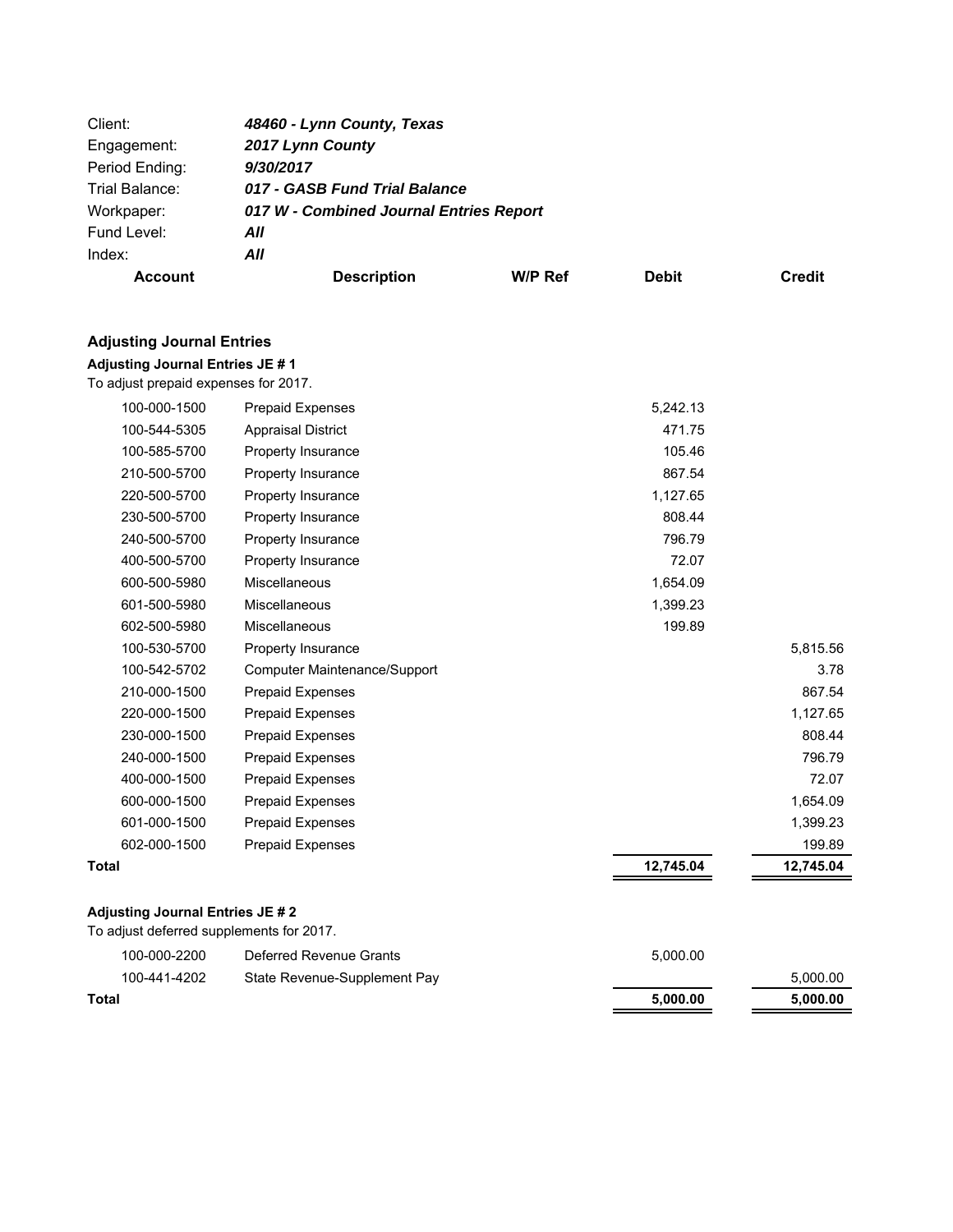| Client:        | 48460 - Lynn County, Texas              |                |              |        |
|----------------|-----------------------------------------|----------------|--------------|--------|
| Engagement:    | 2017 Lynn County                        |                |              |        |
| Period Ending: | 9/30/2017                               |                |              |        |
| Trial Balance: | 017 - GASB Fund Trial Balance           |                |              |        |
| Workpaper:     | 017 W - Combined Journal Entries Report |                |              |        |
| Fund Level:    | All                                     |                |              |        |
| Index:         | All                                     |                |              |        |
| <b>Account</b> | <b>Description</b>                      | <b>W/P Ref</b> | <b>Debit</b> | Credit |

# **Adjusting Journal Entries JE # 1**

To adjust prepaid expenses for 2017.

| 100-000-1500 | <b>Prepaid Expenses</b>      | 5,242.13  |           |
|--------------|------------------------------|-----------|-----------|
| 100-544-5305 | <b>Appraisal District</b>    | 471.75    |           |
| 100-585-5700 | <b>Property Insurance</b>    | 105.46    |           |
| 210-500-5700 | Property Insurance           | 867.54    |           |
| 220-500-5700 | <b>Property Insurance</b>    | 1,127.65  |           |
| 230-500-5700 | Property Insurance           | 808.44    |           |
| 240-500-5700 | <b>Property Insurance</b>    | 796.79    |           |
| 400-500-5700 | Property Insurance           | 72.07     |           |
| 600-500-5980 | <b>Miscellaneous</b>         | 1,654.09  |           |
| 601-500-5980 | <b>Miscellaneous</b>         | 1,399.23  |           |
| 602-500-5980 | <b>Miscellaneous</b>         | 199.89    |           |
| 100-530-5700 | Property Insurance           |           | 5,815.56  |
| 100-542-5702 | Computer Maintenance/Support |           | 3.78      |
| 210-000-1500 | <b>Prepaid Expenses</b>      |           | 867.54    |
| 220-000-1500 | Prepaid Expenses             |           | 1,127.65  |
| 230-000-1500 | <b>Prepaid Expenses</b>      |           | 808.44    |
| 240-000-1500 | Prepaid Expenses             |           | 796.79    |
| 400-000-1500 | Prepaid Expenses             |           | 72.07     |
| 600-000-1500 | Prepaid Expenses             |           | 1,654.09  |
| 601-000-1500 | Prepaid Expenses             |           | 1,399.23  |
| 602-000-1500 | Prepaid Expenses             |           | 199.89    |
| Total        |                              | 12,745.04 | 12,745.04 |
|              |                              |           |           |

# **Adjusting Journal Entries JE # 2**

To adjust deferred supplements for 2017.

| 100-000-2200 | Deferred Revenue Grants      | 5.000.00 |          |
|--------------|------------------------------|----------|----------|
| 100-441-4202 | State Revenue-Supplement Pay |          | 5.000.00 |
| Total        |                              | 5.000.00 | 5.000.00 |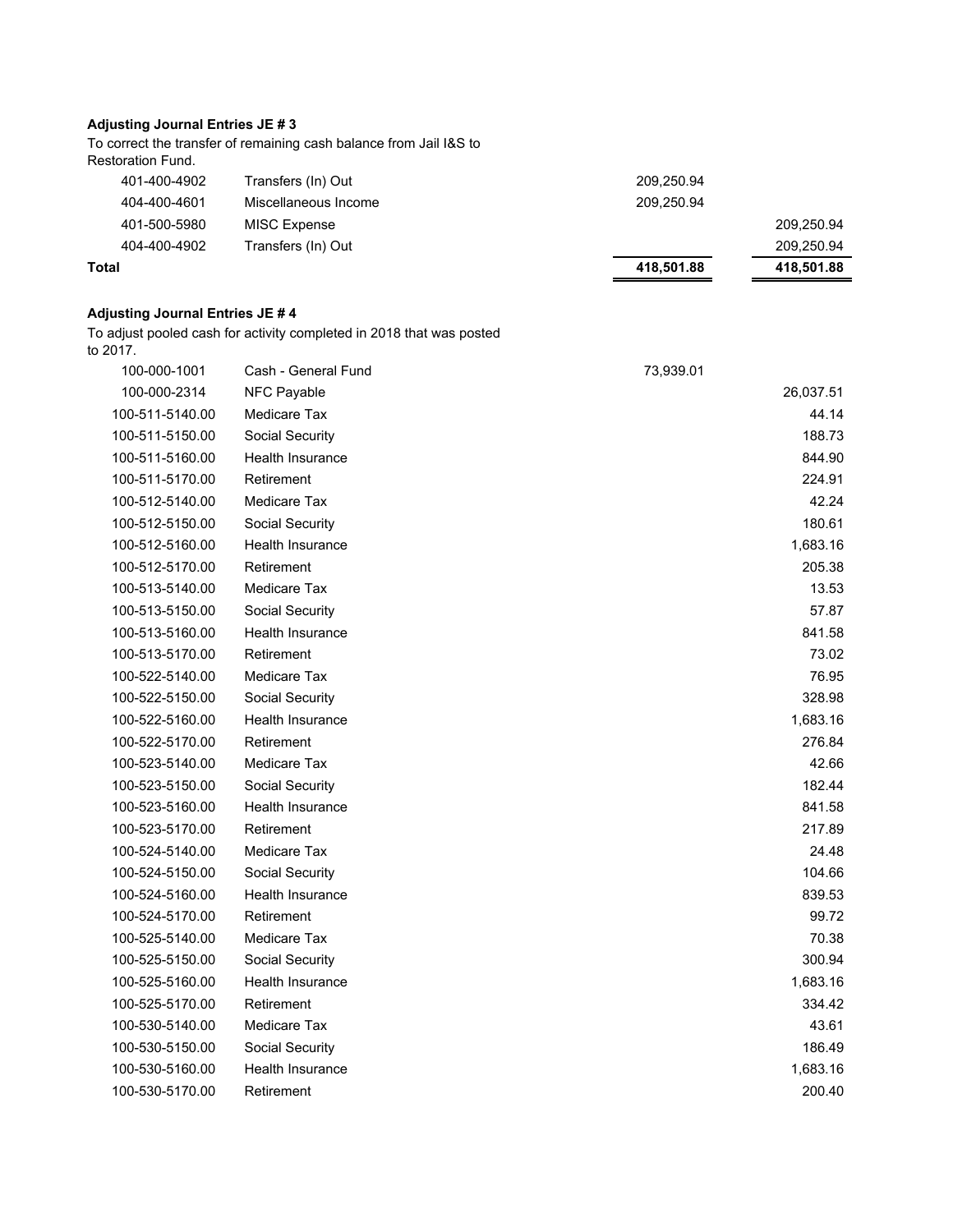To correct the transfer of remaining cash balance from Jail I&S to Restoration Fund.

| Total        |                      | 418,501.88 | 418,501.88 |
|--------------|----------------------|------------|------------|
| 404-400-4902 | Transfers (In) Out   |            | 209,250.94 |
| 401-500-5980 | <b>MISC Expense</b>  |            | 209,250.94 |
| 404-400-4601 | Miscellaneous Income | 209,250.94 |            |
| 401-400-4902 | Transfers (In) Out   | 209,250.94 |            |

## **Adjusting Journal Entries JE # 4**

To adjust pooled cash for activity completed in 2018 that was posted to 2017.

| 100-000-1001    | Cash - General Fund     | 73,939.01 |
|-----------------|-------------------------|-----------|
| 100-000-2314    | NFC Payable             | 26,037.51 |
| 100-511-5140.00 | Medicare Tax            | 44.14     |
| 100-511-5150.00 | Social Security         | 188.73    |
| 100-511-5160.00 | <b>Health Insurance</b> | 844.90    |
| 100-511-5170.00 | Retirement              | 224.91    |
| 100-512-5140.00 | Medicare Tax            | 42.24     |
| 100-512-5150.00 | Social Security         | 180.61    |
| 100-512-5160.00 | Health Insurance        | 1,683.16  |
| 100-512-5170.00 | Retirement              | 205.38    |
| 100-513-5140.00 | Medicare Tax            | 13.53     |
| 100-513-5150.00 | Social Security         | 57.87     |
| 100-513-5160.00 | <b>Health Insurance</b> | 841.58    |
| 100-513-5170.00 | Retirement              | 73.02     |
| 100-522-5140.00 | Medicare Tax            | 76.95     |
| 100-522-5150.00 | Social Security         | 328.98    |
| 100-522-5160.00 | <b>Health Insurance</b> | 1,683.16  |
| 100-522-5170.00 | Retirement              | 276.84    |
| 100-523-5140.00 | Medicare Tax            | 42.66     |
| 100-523-5150.00 | Social Security         | 182.44    |
| 100-523-5160.00 | Health Insurance        | 841.58    |
| 100-523-5170.00 | Retirement              | 217.89    |
| 100-524-5140.00 | Medicare Tax            | 24.48     |
| 100-524-5150.00 | Social Security         | 104.66    |
| 100-524-5160.00 | <b>Health Insurance</b> | 839.53    |
| 100-524-5170.00 | Retirement              | 99.72     |
| 100-525-5140.00 | Medicare Tax            | 70.38     |
| 100-525-5150.00 | Social Security         | 300.94    |
| 100-525-5160.00 | <b>Health Insurance</b> | 1,683.16  |
| 100-525-5170.00 | Retirement              | 334.42    |
| 100-530-5140.00 | Medicare Tax            | 43.61     |
| 100-530-5150.00 | Social Security         | 186.49    |
| 100-530-5160.00 | <b>Health Insurance</b> | 1,683.16  |
| 100-530-5170.00 | Retirement              | 200.40    |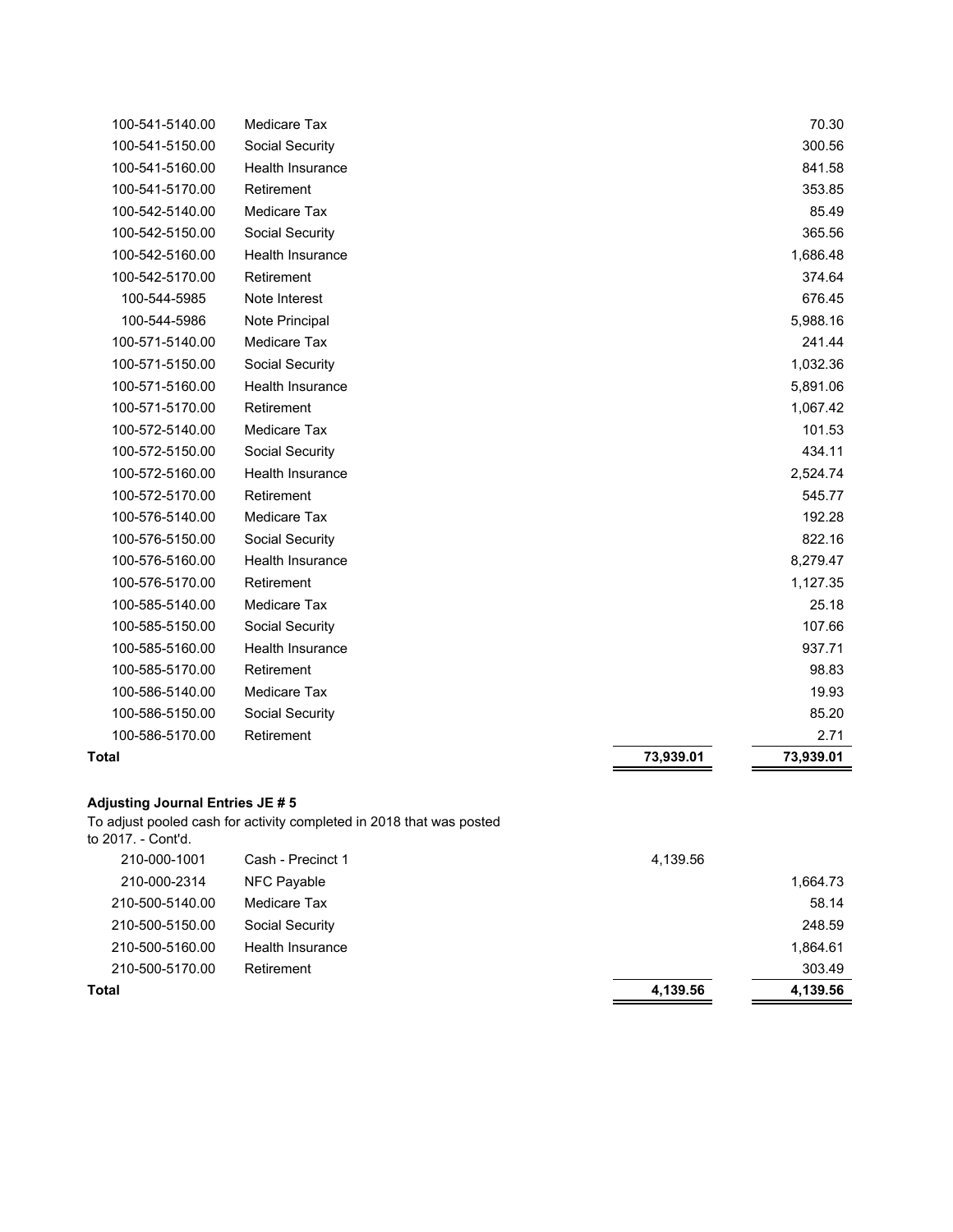| Total           |                         | 73,939.01 | 73,939.01 |
|-----------------|-------------------------|-----------|-----------|
| 100-586-5170.00 | Retirement              |           | 2.71      |
| 100-586-5150.00 | Social Security         |           | 85.20     |
| 100-586-5140.00 | Medicare Tax            |           | 19.93     |
| 100-585-5170.00 | Retirement              |           | 98.83     |
| 100-585-5160.00 | Health Insurance        |           | 937.71    |
| 100-585-5150.00 | Social Security         |           | 107.66    |
| 100-585-5140.00 | <b>Medicare Tax</b>     |           | 25.18     |
| 100-576-5170.00 | Retirement              |           | 1,127.35  |
| 100-576-5160.00 | <b>Health Insurance</b> |           | 8,279.47  |
| 100-576-5150.00 | Social Security         |           | 822.16    |
| 100-576-5140.00 | Medicare Tax            |           | 192.28    |
| 100-572-5170.00 | Retirement              |           | 545.77    |
| 100-572-5160.00 | <b>Health Insurance</b> |           | 2,524.74  |
| 100-572-5150.00 | Social Security         |           | 434.11    |
| 100-572-5140.00 | Medicare Tax            |           | 101.53    |
| 100-571-5170.00 | Retirement              |           | 1,067.42  |
| 100-571-5160.00 | <b>Health Insurance</b> |           | 5,891.06  |
| 100-571-5150.00 | Social Security         |           | 1,032.36  |
| 100-571-5140.00 | Medicare Tax            |           | 241.44    |
| 100-544-5986    | Note Principal          |           | 5,988.16  |
| 100-544-5985    | Note Interest           |           | 676.45    |
| 100-542-5170.00 | Retirement              |           | 374.64    |
| 100-542-5160.00 | <b>Health Insurance</b> |           | 1,686.48  |
| 100-542-5150.00 | Social Security         |           | 365.56    |
| 100-542-5140.00 | Medicare Tax            |           | 85.49     |
| 100-541-5170.00 | Retirement              |           | 353.85    |
| 100-541-5160.00 | <b>Health Insurance</b> |           | 841.58    |
| 100-541-5150.00 | Social Security         |           | 300.56    |
| 100-541-5140.00 | Medicare Tax            |           | 70.30     |

To adjust pooled cash for activity completed in 2018 that was posted

| Total              |                   | 4,139.56 | 4,139.56 |
|--------------------|-------------------|----------|----------|
| 210-500-5170.00    | Retirement        |          | 303.49   |
| 210-500-5160.00    | Health Insurance  |          | 1,864.61 |
| 210-500-5150.00    | Social Security   |          | 248.59   |
| 210-500-5140.00    | Medicare Tax      |          | 58.14    |
| 210-000-2314       | NFC Payable       |          | 1,664.73 |
| 210-000-1001       | Cash - Precinct 1 | 4,139.56 |          |
| to 2017. - Cont'd. |                   |          |          |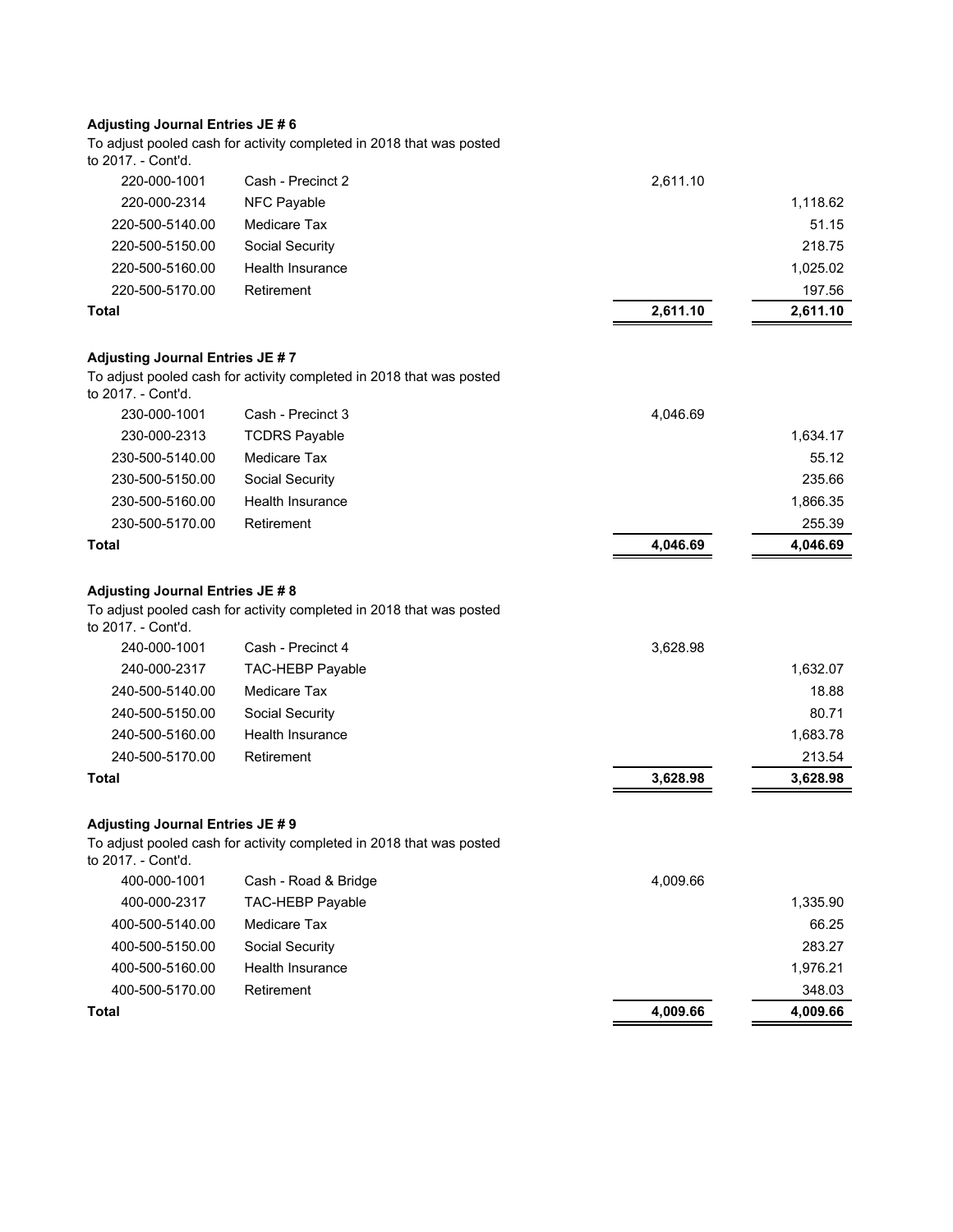To adjust pooled cash for activity completed in 2018 that was posted to 2017. - Cont'd.

| Total           |                   | 2,611.10 | 2,611.10 |
|-----------------|-------------------|----------|----------|
| 220-500-5170.00 | Retirement        |          | 197.56   |
| 220-500-5160.00 | Health Insurance  |          | 1,025.02 |
| 220-500-5150.00 | Social Security   |          | 218.75   |
| 220-500-5140.00 | Medicare Tax      |          | 51.15    |
| 220-000-2314    | NFC Payable       |          | 1,118.62 |
| 220-000-1001    | Cash - Precinct 2 | 2,611.10 |          |
|                 |                   |          |          |

#### **Adjusting Journal Entries JE # 7**

To adjust pooled cash for activity completed in 2018 that was posted to 2017. - Cont'd.

| Total           |                      | 4,046.69 | 4,046.69 |
|-----------------|----------------------|----------|----------|
| 230-500-5170.00 | Retirement           |          | 255.39   |
| 230-500-5160.00 | Health Insurance     |          | 1,866.35 |
| 230-500-5150.00 | Social Security      |          | 235.66   |
| 230-500-5140.00 | Medicare Tax         |          | 55.12    |
| 230-000-2313    | <b>TCDRS Payable</b> |          | 1,634.17 |
| 230-000-1001    | Cash - Precinct 3    | 4,046.69 |          |
|                 |                      |          |          |

## **Adjusting Journal Entries JE # 8**

To adjust pooled cash for activity completed in 2018 that was posted

to 2017. - Cont'd.

| Total           |                         | 3.628.98 | 3,628.98 |
|-----------------|-------------------------|----------|----------|
| 240-500-5170.00 | Retirement              |          | 213.54   |
| 240-500-5160.00 | Health Insurance        |          | 1.683.78 |
| 240-500-5150.00 | Social Security         |          | 80.71    |
| 240-500-5140.00 | Medicare Tax            |          | 18.88    |
| 240-000-2317    | <b>TAC-HEBP Payable</b> |          | 1,632.07 |
| 240-000-1001    | Cash - Precinct 4       | 3,628.98 |          |

#### **Adjusting Journal Entries JE # 9**

To adjust pooled cash for activity completed in 2018 that was posted to 2017. - Cont'd.

| 400-500-5170.00<br>Total | Retirement              | 4,009.66 | 348.03<br>4,009.66 |
|--------------------------|-------------------------|----------|--------------------|
| 400-500-5160.00          | Health Insurance        |          | 1.976.21           |
| 400-500-5150.00          | Social Security         |          | 283.27             |
| 400-500-5140.00          | Medicare Tax            |          | 66.25              |
| 400-000-2317             | <b>TAC-HEBP Payable</b> |          | 1,335.90           |
| 400-000-1001             | Cash - Road & Bridge    | 4,009.66 |                    |
|                          |                         |          |                    |